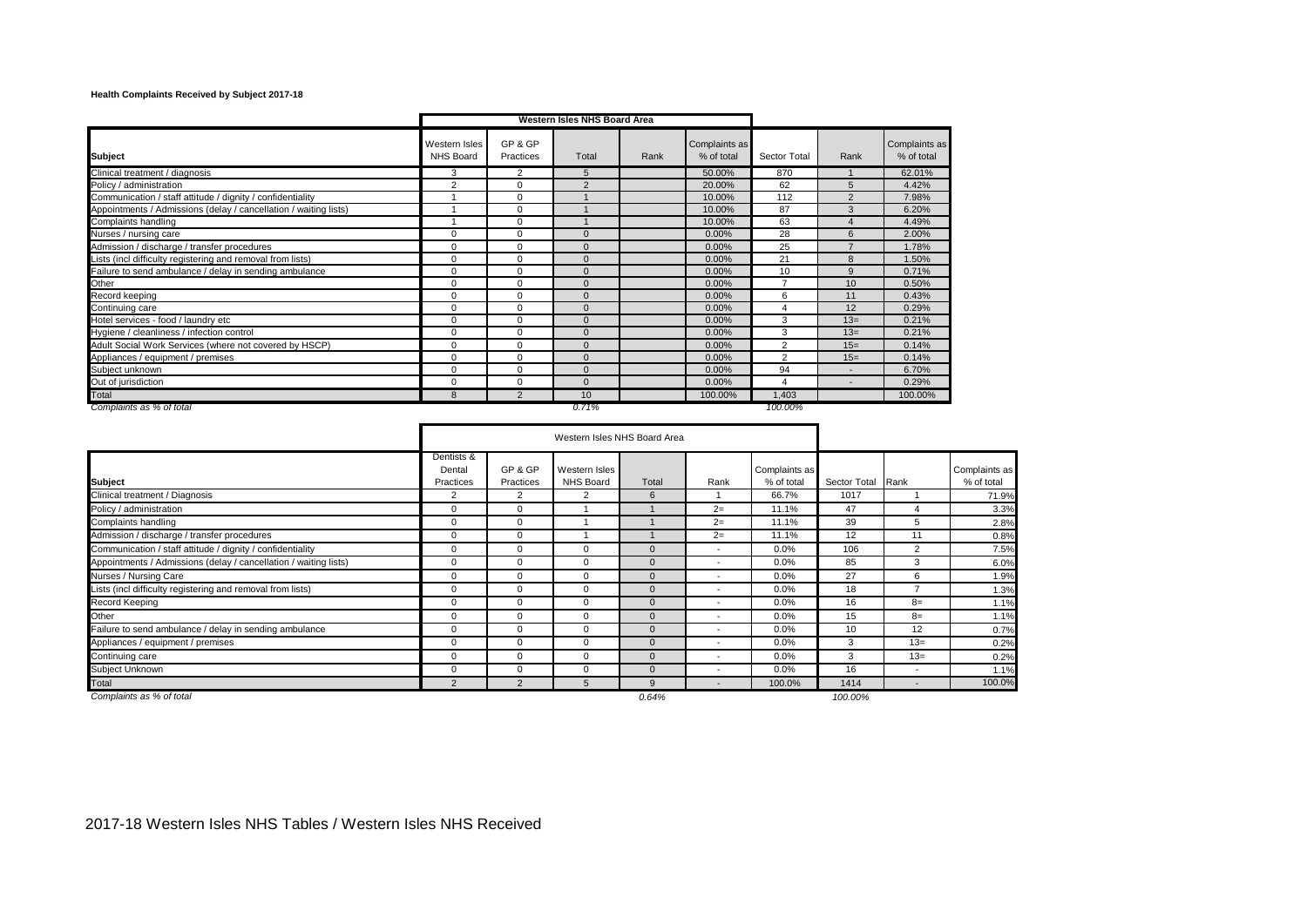## **Health Complaints Received by Subject 2017-18**

|                                                                  |                            |                      | Western Isles NHS Board Area |      |                             |                |                          |                             |
|------------------------------------------------------------------|----------------------------|----------------------|------------------------------|------|-----------------------------|----------------|--------------------------|-----------------------------|
| <b>Subject</b>                                                   | Western Isles<br>NHS Board | GP & GP<br>Practices | Total                        | Rank | Complaints as<br>% of total | Sector Total   | Rank                     | Complaints as<br>% of total |
| Clinical treatment / diagnosis                                   | 3                          | 2                    | 5                            |      | 50.00%                      | 870            |                          | 62.01%                      |
| Policy / administration                                          | $\overline{2}$             | $\Omega$             | $\overline{2}$               |      | 20.00%                      | 62             | 5                        | 4.42%                       |
| Communication / staff attitude / dignity / confidentiality       |                            | $\Omega$             |                              |      | 10.00%                      | 112            | $\overline{2}$           | 7.98%                       |
| Appointments / Admissions (delay / cancellation / waiting lists) |                            | $\Omega$             |                              |      | 10.00%                      | 87             | 3                        | 6.20%                       |
| Complaints handling                                              |                            | $\Omega$             |                              |      | 10.00%                      | 63             | $\Delta$                 | 4.49%                       |
| Nurses / nursing care                                            | $\Omega$                   | $\Omega$             | $\Omega$                     |      | 0.00%                       | 28             | 6                        | 2.00%                       |
| Admission / discharge / transfer procedures                      | $\Omega$                   | 0                    | $\Omega$                     |      | 0.00%                       | 25             |                          | 1.78%                       |
| Lists (incl difficulty registering and removal from lists)       | $\Omega$                   | $\Omega$             | $\Omega$                     |      | 0.00%                       | 21             | 8                        | 1.50%                       |
| Failure to send ambulance / delay in sending ambulance           | $\Omega$                   | $\Omega$             | $\Omega$                     |      | 0.00%                       | 10             | 9                        | 0.71%                       |
| Other                                                            | $\Omega$                   | $\Omega$             | $\Omega$                     |      | 0.00%                       | $\overline{ }$ | 10                       | 0.50%                       |
| Record keeping                                                   | 0                          | 0                    | $\Omega$                     |      | 0.00%                       | 6              | 11                       | 0.43%                       |
| Continuing care                                                  | 0                          | $\Omega$             | $\Omega$                     |      | 0.00%                       |                | 12                       | 0.29%                       |
| Hotel services - food / laundry etc                              | 0                          | $\Omega$             | $\Omega$                     |      | 0.00%                       | 3              | $13=$                    | 0.21%                       |
| Hygiene / cleanliness / infection control                        | $\Omega$                   | $\Omega$             | $\Omega$                     |      | 0.00%                       | 3              | $13=$                    | 0.21%                       |
| Adult Social Work Services (where not covered by HSCP)           | $\Omega$                   | 0                    | $\Omega$                     |      | 0.00%                       | $\overline{2}$ | $15=$                    | 0.14%                       |
| Appliances / equipment / premises                                | $\Omega$                   | $\Omega$             | $\Omega$                     |      | 0.00%                       | 2              | $15=$                    | 0.14%                       |
| Subject unknown                                                  | 0                          | 0                    | $\Omega$                     |      | 0.00%                       | 94             |                          | 6.70%                       |
| Out of jurisdiction                                              | 0                          | 0                    | $\Omega$                     |      | 0.00%                       | 4              | $\overline{\phantom{a}}$ | 0.29%                       |
| Total                                                            | 8                          | $\overline{2}$       | 10 <sup>1</sup>              |      | 100.00%                     | .403           |                          | 100.00%                     |
| Complaints as % of total                                         |                            |                      | 0.71%                        |      |                             | 100.00%        |                          |                             |

|                                                                  |                                   | Western Isles NHS Board Area |                                   |              |                          |                             |                   |                          |                             |
|------------------------------------------------------------------|-----------------------------------|------------------------------|-----------------------------------|--------------|--------------------------|-----------------------------|-------------------|--------------------------|-----------------------------|
| <b>Subject</b>                                                   | Dentists &<br>Dental<br>Practices | GP & GP<br>Practices         | Western Isles<br><b>NHS Board</b> | Total        | Rank                     | Complaints as<br>% of total | Sector Total Rank |                          | Complaints as<br>% of total |
| Clinical treatment / Diagnosis                                   | 2                                 | $\overline{2}$               | 2                                 | 6            |                          | 66.7%                       | 1017              |                          | 71.9%                       |
| Policy / administration                                          | $\Omega$                          | $\mathbf 0$                  |                                   |              | $2 =$                    | 11.1%                       | 47                | $\boldsymbol{\Delta}$    | 3.3%                        |
| Complaints handling                                              | 0                                 | $\mathbf 0$                  |                                   |              | $2=$                     | 11.1%                       | 39                | 5                        | 2.8%                        |
| Admission / discharge / transfer procedures                      | 0                                 | $\mathbf 0$                  |                                   |              | $2=$                     | 11.1%                       | 12                | 11                       | 0.8%                        |
| Communication / staff attitude / dignity / confidentiality       | $\Omega$                          | $\mathbf 0$                  | 0                                 | $\Omega$     |                          | 0.0%                        | 106               | 2                        | 7.5%                        |
| Appointments / Admissions (delay / cancellation / waiting lists) | $\Omega$                          | $\mathbf 0$                  | 0                                 | $\Omega$     | ٠                        | 0.0%                        | 85                | 3                        | 6.0%                        |
| Nurses / Nursing Care                                            | $\Omega$                          | $\mathbf 0$                  | 0                                 | $\Omega$     | $\overline{\phantom{a}}$ | 0.0%                        | 27                | 6                        | 1.9%                        |
| Lists (incl difficulty registering and removal from lists)       | $\Omega$                          | $\mathbf 0$                  | 0                                 | $\Omega$     |                          | 0.0%                        | 18                |                          | 1.3%                        |
| Record Keeping                                                   | $\Omega$                          | $\mathbf 0$                  | 0                                 | $\Omega$     |                          | 0.0%                        | 16                | $8=$                     | 1.1%                        |
| Other                                                            | $\Omega$                          | $\mathbf 0$                  | 0                                 | $\Omega$     | $\overline{\phantom{a}}$ | 0.0%                        | 15                | $8=$                     | 1.1%                        |
| Failure to send ambulance / delay in sending ambulance           | $\Omega$                          | $\mathbf 0$                  | 0                                 | $\Omega$     |                          | 0.0%                        | 10                | 12                       | 0.7%                        |
| Appliances / equipment / premises                                | 0                                 | $\mathbf 0$                  | 0                                 | $\mathbf{0}$ |                          | 0.0%                        | 3                 | $13=$                    | 0.2%                        |
| Continuing care                                                  | $\Omega$                          | $\mathbf 0$                  | 0                                 | $\Omega$     | $\overline{\phantom{a}}$ | 0.0%                        | 3                 | $13=$                    | 0.2%                        |
| Subject Unknown                                                  | $\Omega$                          | $\mathbf 0$                  | 0                                 | $\mathbf{0}$ |                          | 0.0%                        | 16                |                          | 1.1%                        |
| Total                                                            | $\overline{2}$                    | $\mathcal{P}$                | 5                                 | 9            |                          | 100.0%                      | 1414              | $\overline{\phantom{a}}$ | 100.0%                      |
| Complaints as % of total                                         |                                   |                              |                                   | 0.64%        |                          |                             | 100.00%           |                          |                             |